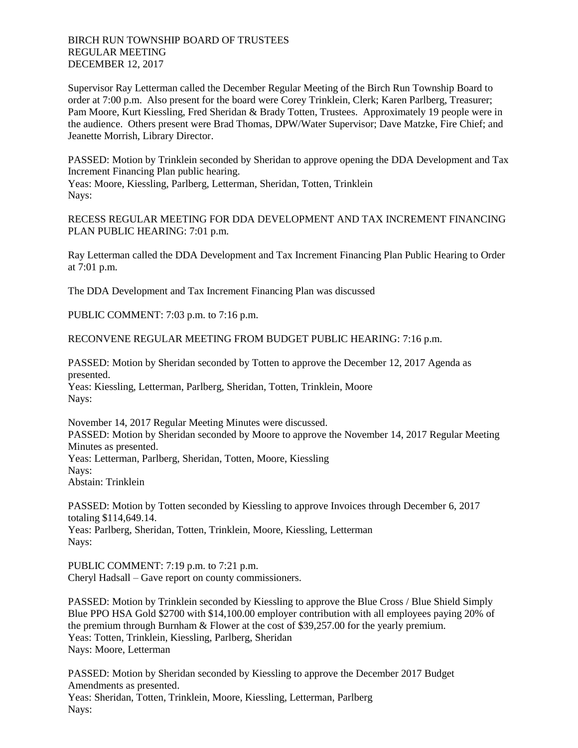BIRCH RUN TOWNSHIP BOARD OF TRUSTEES REGULAR MEETING DECEMBER 12, 2017

Supervisor Ray Letterman called the December Regular Meeting of the Birch Run Township Board to order at 7:00 p.m. Also present for the board were Corey Trinklein, Clerk; Karen Parlberg, Treasurer; Pam Moore, Kurt Kiessling, Fred Sheridan & Brady Totten, Trustees. Approximately 19 people were in the audience. Others present were Brad Thomas, DPW/Water Supervisor; Dave Matzke, Fire Chief; and Jeanette Morrish, Library Director.

PASSED: Motion by Trinklein seconded by Sheridan to approve opening the DDA Development and Tax Increment Financing Plan public hearing. Yeas: Moore, Kiessling, Parlberg, Letterman, Sheridan, Totten, Trinklein Nays:

RECESS REGULAR MEETING FOR DDA DEVELOPMENT AND TAX INCREMENT FINANCING PLAN PUBLIC HEARING: 7:01 p.m.

Ray Letterman called the DDA Development and Tax Increment Financing Plan Public Hearing to Order at 7:01 p.m.

The DDA Development and Tax Increment Financing Plan was discussed

PUBLIC COMMENT: 7:03 p.m. to 7:16 p.m.

RECONVENE REGULAR MEETING FROM BUDGET PUBLIC HEARING: 7:16 p.m.

PASSED: Motion by Sheridan seconded by Totten to approve the December 12, 2017 Agenda as presented.

Yeas: Kiessling, Letterman, Parlberg, Sheridan, Totten, Trinklein, Moore Nays:

November 14, 2017 Regular Meeting Minutes were discussed. PASSED: Motion by Sheridan seconded by Moore to approve the November 14, 2017 Regular Meeting Minutes as presented. Yeas: Letterman, Parlberg, Sheridan, Totten, Moore, Kiessling Nays: Abstain: Trinklein

PASSED: Motion by Totten seconded by Kiessling to approve Invoices through December 6, 2017 totaling \$114,649.14. Yeas: Parlberg, Sheridan, Totten, Trinklein, Moore, Kiessling, Letterman Nays:

PUBLIC COMMENT: 7:19 p.m. to 7:21 p.m. Cheryl Hadsall – Gave report on county commissioners.

PASSED: Motion by Trinklein seconded by Kiessling to approve the Blue Cross / Blue Shield Simply Blue PPO HSA Gold \$2700 with \$14,100.00 employer contribution with all employees paying 20% of the premium through Burnham & Flower at the cost of \$39,257.00 for the yearly premium. Yeas: Totten, Trinklein, Kiessling, Parlberg, Sheridan Nays: Moore, Letterman

PASSED: Motion by Sheridan seconded by Kiessling to approve the December 2017 Budget Amendments as presented. Yeas: Sheridan, Totten, Trinklein, Moore, Kiessling, Letterman, Parlberg Nays: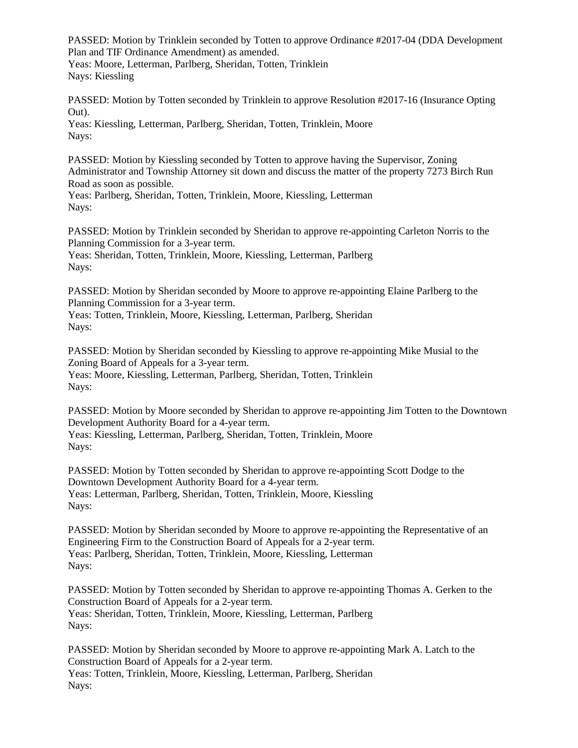PASSED: Motion by Trinklein seconded by Totten to approve Ordinance #2017-04 (DDA Development Plan and TIF Ordinance Amendment) as amended. Yeas: Moore, Letterman, Parlberg, Sheridan, Totten, Trinklein Nays: Kiessling

PASSED: Motion by Totten seconded by Trinklein to approve Resolution #2017-16 (Insurance Opting Out).

Yeas: Kiessling, Letterman, Parlberg, Sheridan, Totten, Trinklein, Moore Nays:

PASSED: Motion by Kiessling seconded by Totten to approve having the Supervisor, Zoning Administrator and Township Attorney sit down and discuss the matter of the property 7273 Birch Run Road as soon as possible.

Yeas: Parlberg, Sheridan, Totten, Trinklein, Moore, Kiessling, Letterman Nays:

PASSED: Motion by Trinklein seconded by Sheridan to approve re-appointing Carleton Norris to the Planning Commission for a 3-year term. Yeas: Sheridan, Totten, Trinklein, Moore, Kiessling, Letterman, Parlberg

Nays:

PASSED: Motion by Sheridan seconded by Moore to approve re-appointing Elaine Parlberg to the Planning Commission for a 3-year term.

Yeas: Totten, Trinklein, Moore, Kiessling, Letterman, Parlberg, Sheridan Nays:

PASSED: Motion by Sheridan seconded by Kiessling to approve re-appointing Mike Musial to the Zoning Board of Appeals for a 3-year term. Yeas: Moore, Kiessling, Letterman, Parlberg, Sheridan, Totten, Trinklein Nays:

PASSED: Motion by Moore seconded by Sheridan to approve re-appointing Jim Totten to the Downtown Development Authority Board for a 4-year term. Yeas: Kiessling, Letterman, Parlberg, Sheridan, Totten, Trinklein, Moore Nays:

PASSED: Motion by Totten seconded by Sheridan to approve re-appointing Scott Dodge to the Downtown Development Authority Board for a 4-year term. Yeas: Letterman, Parlberg, Sheridan, Totten, Trinklein, Moore, Kiessling Nays:

PASSED: Motion by Sheridan seconded by Moore to approve re-appointing the Representative of an Engineering Firm to the Construction Board of Appeals for a 2-year term. Yeas: Parlberg, Sheridan, Totten, Trinklein, Moore, Kiessling, Letterman Nays:

PASSED: Motion by Totten seconded by Sheridan to approve re-appointing Thomas A. Gerken to the Construction Board of Appeals for a 2-year term. Yeas: Sheridan, Totten, Trinklein, Moore, Kiessling, Letterman, Parlberg Nays:

PASSED: Motion by Sheridan seconded by Moore to approve re-appointing Mark A. Latch to the Construction Board of Appeals for a 2-year term. Yeas: Totten, Trinklein, Moore, Kiessling, Letterman, Parlberg, Sheridan Nays: